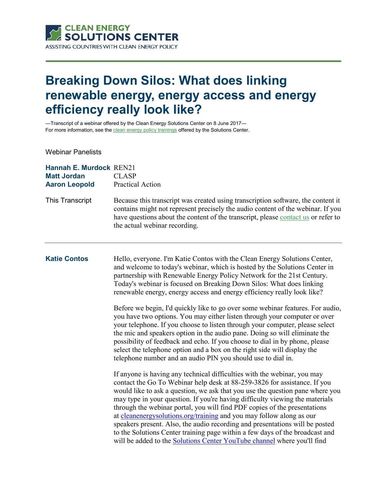

# **Breaking Down Silos: What does linking renewable energy, energy access and energy efficiency really look like?**

—Transcript of a webinar offered by the Clean Energy Solutions Center on 8 June 2017 For more information, see th[e clean energy policy trainings](https://cleanenergysolutions.org/training) offered by the Solutions Center.

Webinar Panelists

| Hannah E. Murdock REN21<br><b>Matt Jordan</b><br><b>Aaron Leopold</b> | <b>CLASP</b><br><b>Practical Action</b>                                                                                                                                                                                                                                                                                                                                                                                                                                                                                                                                                                                                                                                                                       |
|-----------------------------------------------------------------------|-------------------------------------------------------------------------------------------------------------------------------------------------------------------------------------------------------------------------------------------------------------------------------------------------------------------------------------------------------------------------------------------------------------------------------------------------------------------------------------------------------------------------------------------------------------------------------------------------------------------------------------------------------------------------------------------------------------------------------|
| This Transcript                                                       | Because this transcript was created using transcription software, the content it<br>contains might not represent precisely the audio content of the webinar. If you<br>have questions about the content of the transcript, please contact us or refer to<br>the actual webinar recording.                                                                                                                                                                                                                                                                                                                                                                                                                                     |
| <b>Katie Contos</b>                                                   | Hello, everyone. I'm Katie Contos with the Clean Energy Solutions Center,<br>and welcome to today's webinar, which is hosted by the Solutions Center in<br>partnership with Renewable Energy Policy Network for the 21st Century.<br>Today's webinar is focused on Breaking Down Silos: What does linking<br>renewable energy, energy access and energy efficiency really look like?                                                                                                                                                                                                                                                                                                                                          |
|                                                                       | Before we begin, I'd quickly like to go over some webinar features. For audio,<br>you have two options. You may either listen through your computer or over<br>your telephone. If you choose to listen through your computer, please select<br>the mic and speakers option in the audio pane. Doing so will eliminate the<br>possibility of feedback and echo. If you choose to dial in by phone, please<br>select the telephone option and a box on the right side will display the<br>telephone number and an audio PIN you should use to dial in.                                                                                                                                                                          |
|                                                                       | If anyone is having any technical difficulties with the webinar, you may<br>contact the Go To Webinar help desk at 88-259-3826 for assistance. If you<br>would like to ask a question, we ask that you use the question pane where you<br>may type in your question. If you're having difficulty viewing the materials<br>through the webinar portal, you will find PDF copies of the presentations<br>at cleanenergysolutions.org/training and you may follow along as our<br>speakers present. Also, the audio recording and presentations will be posted<br>to the Solutions Center training page within a few days of the broadcast and<br>will be added to the <b>Solutions Center YouTube channel</b> where you'll find |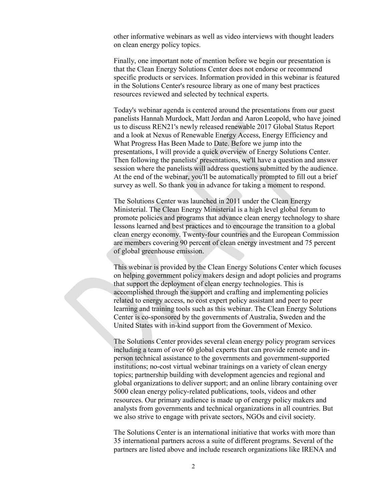other informative webinars as well as video interviews with thought leaders on clean energy policy topics.

Finally, one important note of mention before we begin our presentation is that the Clean Energy Solutions Center does not endorse or recommend specific products or services. Information provided in this webinar is featured in the Solutions Center's resource library as one of many best practices resources reviewed and selected by technical experts.

Today's webinar agenda is centered around the presentations from our guest panelists Hannah Murdock, Matt Jordan and Aaron Leopold, who have joined us to discuss REN21's newly released renewable 2017 Global Status Report and a look at Nexus of Renewable Energy Access, Energy Efficiency and What Progress Has Been Made to Date. Before we jump into the presentations, I will provide a quick overview of Energy Solutions Center. Then following the panelists' presentations, we'll have a question and answer session where the panelists will address questions submitted by the audience. At the end of the webinar, you'll be automatically prompted to fill out a brief survey as well. So thank you in advance for taking a moment to respond.

The Solutions Center was launched in 2011 under the Clean Energy Ministerial. The Clean Energy Ministerial is a high level global forum to promote policies and programs that advance clean energy technology to share lessons learned and best practices and to encourage the transition to a global clean energy economy. Twenty-four countries and the European Commission are members covering 90 percent of clean energy investment and 75 percent of global greenhouse emission.

This webinar is provided by the Clean Energy Solutions Center which focuses on helping government policy makers design and adopt policies and programs that support the deployment of clean energy technologies. This is accomplished through the support and crafting and implementing policies related to energy access, no cost expert policy assistant and peer to peer learning and training tools such as this webinar. The Clean Energy Solutions Center is co-sponsored by the governments of Australia, Sweden and the United States with in-kind support from the Government of Mexico.

The Solutions Center provides several clean energy policy program services including a team of over 60 global experts that can provide remote and inperson technical assistance to the governments and government-supported institutions; no-cost virtual webinar trainings on a variety of clean energy topics; partnership building with development agencies and regional and global organizations to deliver support; and an online library containing over 5000 clean energy policy-related publications, tools, videos and other resources. Our primary audience is made up of energy policy makers and analysts from governments and technical organizations in all countries. But we also strive to engage with private sectors, NGOs and civil society.

The Solutions Center is an international initiative that works with more than 35 international partners across a suite of different programs. Several of the partners are listed above and include research organizations like IRENA and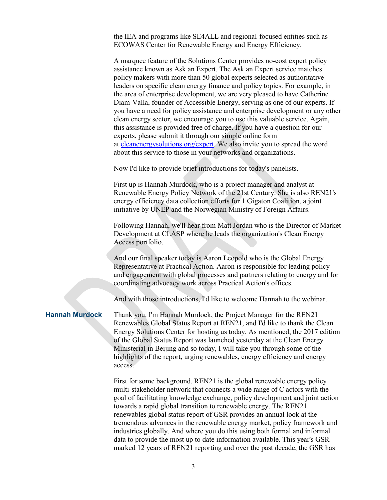the IEA and programs like SE4ALL and regional-focused entities such as ECOWAS Center for Renewable Energy and Energy Efficiency.

A marquee feature of the Solutions Center provides no-cost expert policy assistance known as Ask an Expert. The Ask an Expert service matches policy makers with more than 50 global experts selected as authoritative leaders on specific clean energy finance and policy topics. For example, in the area of enterprise development, we are very pleased to have Catherine Diam-Valla, founder of Accessible Energy, serving as one of our experts. If you have a need for policy assistance and enterprise development or any other clean energy sector, we encourage you to use this valuable service. Again, this assistance is provided free of charge. If you have a question for our experts, please submit it through our simple online form at [cleanenergysolutions.org/expert.](https://cleanenergysolutions.org/expert) We also invite you to spread the word about this service to those in your networks and organizations.

Now I'd like to provide brief introductions for today's panelists.

First up is Hannah Murdock, who is a project manager and analyst at Renewable Energy Policy Network of the 21st Century. She is also REN21's energy efficiency data collection efforts for 1 Gigaton Coalition, a joint initiative by UNEP and the Norwegian Ministry of Foreign Affairs.

Following Hannah, we'll hear from Matt Jordan who is the Director of Market Development at CLASP where he leads the organization's Clean Energy Access portfolio.

And our final speaker today is Aaron Leopold who is the Global Energy Representative at Practical Action. Aaron is responsible for leading policy and engagement with global processes and partners relating to energy and for coordinating advocacy work across Practical Action's offices.

And with those introductions, I'd like to welcome Hannah to the webinar.

**Hannah Murdock** Thank you. I'm Hannah Murdock, the Project Manager for the REN21 Renewables Global Status Report at REN21, and I'd like to thank the Clean Energy Solutions Center for hosting us today. As mentioned, the 2017 edition of the Global Status Report was launched yesterday at the Clean Energy Ministerial in Beijing and so today, I will take you through some of the highlights of the report, urging renewables, energy efficiency and energy access.

> First for some background. REN21 is the global renewable energy policy multi-stakeholder network that connects a wide range of C actors with the goal of facilitating knowledge exchange, policy development and joint action towards a rapid global transition to renewable energy. The REN21 renewables global status report of GSR provides an annual look at the tremendous advances in the renewable energy market, policy framework and industries globally. And where you do this using both formal and informal data to provide the most up to date information available. This year's GSR marked 12 years of REN21 reporting and over the past decade, the GSR has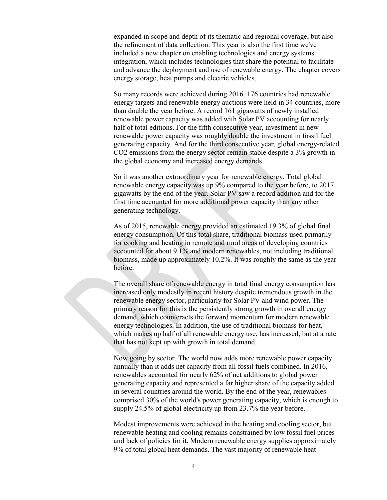expanded in scope and depth of its thematic and regional coverage, but also the refinement of data collection. This year is also the first time we've included a new chapter on enabling technologies and energy systems integration, which includes technologies that share the potential to facilitate and advance the deployment and use of renewable energy. The chapter covers energy storage, heat pumps and electric vehicles.

So many records were achieved during 2016. 176 countries had renewable energy targets and renewable energy auctions were held in 34 countries, more than double the year before. A record 161 gigawatts of newly installed renewable power capacity was added with Solar PV accounting for nearly half of total editions. For the fifth consecutive year, investment in new renewable power capacity was roughly double the investment in fossil fuel generating capacity. And for the third consecutive year, global energy-related CO2 emissions from the energy sector remain stable despite a 3% growth in the global economy and increased energy demands.

So it was another extraordinary year for renewable energy. Total global renewable energy capacity was up 9% compared to the year before, to 2017 gigawatts by the end of the year. Solar PV saw a record addition and for the first time accounted for more additional power capacity than any other generating technology.

As of 2015, renewable energy provided an estimated 19.3% of global final energy consumption. Of this total share, traditional biomass used primarily for cooking and heating in remote and rural areas of developing countries accounted for about 9.1% and modern renewables, not including traditional biomass, made up approximately 10.2%. It was roughly the same as the year before.

The overall share of renewable energy in total final energy consumption has increased only modestly in recent history despite tremendous growth in the renewable energy sector, particularly for Solar PV and wind power. The primary reason for this is the persistently strong growth in overall energy demand, which counteracts the forward momentum for modern renewable energy technologies. In addition, the use of traditional biomass for heat, which makes up half of all renewable energy use, has increased, but at a rate that has not kept up with growth in total demand.

Now going by sector. The world now adds more renewable power capacity annually than it adds net capacity from all fossil fuels combined. In 2016, renewables accounted for nearly 62% of net additions to global power generating capacity and represented a far higher share of the capacity added in several countries around the world. By the end of the year, renewables comprised 30% of the world's power generating capacity, which is enough to supply 24.5% of global electricity up from 23.7% the year before.

Modest improvements were achieved in the heating and cooling sector, but renewable heating and cooling remains constrained by low fossil fuel prices and lack of policies for it. Modern renewable energy supplies approximately 9% of total global heat demands. The vast majority of renewable heat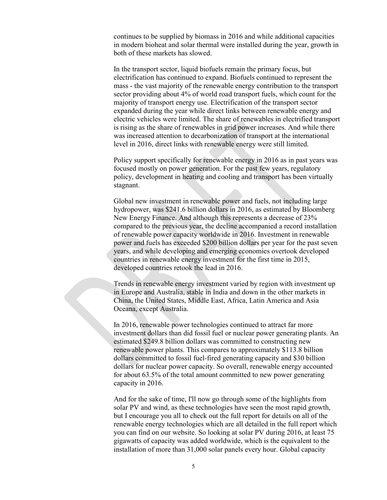continues to be supplied by biomass in 2016 and while additional capacities in modern bioheat and solar thermal were installed during the year, growth in both of these markets has slowed.

In the transport sector, liquid biofuels remain the primary focus, but electrification has continued to expand. Biofuels continued to represent the mass - the vast majority of the renewable energy contribution to the transport sector providing about 4% of world road transport fuels, which count for the majority of transport energy use. Electrification of the transport sector expanded during the year while direct links between renewable energy and electric vehicles were limited. The share of renewables in electrified transport is rising as the share of renewables in grid power increases. And while there was increased attention to decarbonization of transport at the international level in 2016, direct links with renewable energy were still limited.

Policy support specifically for renewable energy in 2016 as in past years was focused mostly on power generation. For the past few years, regulatory policy, development in heating and cooling and transport has been virtually stagnant.

Global new investment in renewable power and fuels, not including large hydropower, was \$241.6 billion dollars in 2016, as estimated by Bloomberg New Energy Finance. And although this represents a decrease of 23% compared to the previous year, the decline accompanied a record installation of renewable power capacity worldwide in 2016. Investment in renewable power and fuels has exceeded \$200 billion dollars per year for the past seven years, and while developing and emerging economies overtook developed countries in renewable energy investment for the first time in 2015, developed countries retook the lead in 2016.

Trends in renewable energy investment varied by region with investment up in Europe and Australia, stable in India and down in the other markets in China, the United States, Middle East, Africa, Latin America and Asia Oceana, except Australia.

In 2016, renewable power technologies continued to attract far more investment dollars than did fossil fuel or nuclear power generating plants. An estimated \$249.8 billion dollars was committed to constructing new renewable power plants. This compares to approximately \$113.8 billion dollars committed to fossil fuel-fired generating capacity and \$30 billion dollars for nuclear power capacity. So overall, renewable energy accounted for about 63.5% of the total amount committed to new power generating capacity in 2016.

And for the sake of time, I'll now go through some of the highlights from solar PV and wind, as these technologies have seen the most rapid growth, but I encourage you all to check out the full report for details on all of the renewable energy technologies which are all detailed in the full report which you can find on our website. So looking at solar PV during 2016, at least 75 gigawatts of capacity was added worldwide, which is the equivalent to the installation of more than 31,000 solar panels every hour. Global capacity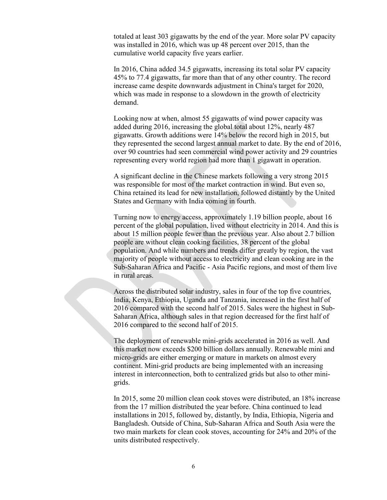totaled at least 303 gigawatts by the end of the year. More solar PV capacity was installed in 2016, which was up 48 percent over 2015, than the cumulative world capacity five years earlier.

In 2016, China added 34.5 gigawatts, increasing its total solar PV capacity 45% to 77.4 gigawatts, far more than that of any other country. The record increase came despite downwards adjustment in China's target for 2020, which was made in response to a slowdown in the growth of electricity demand.

Looking now at when, almost 55 gigawatts of wind power capacity was added during 2016, increasing the global total about 12%, nearly 487 gigawatts. Growth additions were 14% below the record high in 2015, but they represented the second largest annual market to date. By the end of 2016, over 90 countries had seen commercial wind power activity and 29 countries representing every world region had more than 1 gigawatt in operation.

A significant decline in the Chinese markets following a very strong 2015 was responsible for most of the market contraction in wind. But even so, China retained its lead for new installation, followed distantly by the United States and Germany with India coming in fourth.

Turning now to energy access, approximately 1.19 billion people, about 16 percent of the global population, lived without electricity in 2014. And this is about 15 million people fewer than the previous year. Also about 2.7 billion people are without clean cooking facilities, 38 percent of the global population. And while numbers and trends differ greatly by region, the vast majority of people without access to electricity and clean cooking are in the Sub-Saharan Africa and Pacific - Asia Pacific regions, and most of them live in rural areas.

Across the distributed solar industry, sales in four of the top five countries, India, Kenya, Ethiopia, Uganda and Tanzania, increased in the first half of 2016 compared with the second half of 2015. Sales were the highest in Sub-Saharan Africa, although sales in that region decreased for the first half of 2016 compared to the second half of 2015.

The deployment of renewable mini-grids accelerated in 2016 as well. And this market now exceeds \$200 billion dollars annually. Renewable mini and micro-grids are either emerging or mature in markets on almost every continent. Mini-grid products are being implemented with an increasing interest in interconnection, both to centralized grids but also to other minigrids.

In 2015, some 20 million clean cook stoves were distributed, an 18% increase from the 17 million distributed the year before. China continued to lead installations in 2015, followed by, distantly, by India, Ethiopia, Nigeria and Bangladesh. Outside of China, Sub-Saharan Africa and South Asia were the two main markets for clean cook stoves, accounting for 24% and 20% of the units distributed respectively.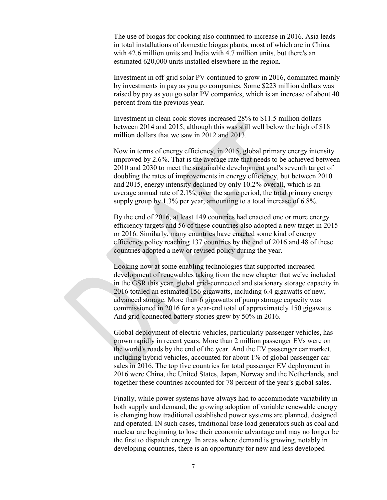The use of biogas for cooking also continued to increase in 2016. Asia leads in total installations of domestic biogas plants, most of which are in China with 42.6 million units and India with 4.7 million units, but there's an estimated 620,000 units installed elsewhere in the region.

Investment in off-grid solar PV continued to grow in 2016, dominated mainly by investments in pay as you go companies. Some \$223 million dollars was raised by pay as you go solar PV companies, which is an increase of about 40 percent from the previous year.

Investment in clean cook stoves increased 28% to \$11.5 million dollars between 2014 and 2015, although this was still well below the high of \$18 million dollars that we saw in 2012 and 2013.

Now in terms of energy efficiency, in 2015, global primary energy intensity improved by 2.6%. That is the average rate that needs to be achieved between 2010 and 2030 to meet the sustainable development goal's seventh target of doubling the rates of improvements in energy efficiency, but between 2010 and 2015, energy intensity declined by only 10.2% overall, which is an average annual rate of 2.1%, over the same period, the total primary energy supply group by 1.3% per year, amounting to a total increase of 6.8%.

By the end of 2016, at least 149 countries had enacted one or more energy efficiency targets and 56 of these countries also adopted a new target in 2015 or 2016. Similarly, many countries have enacted some kind of energy efficiency policy reaching 137 countries by the end of 2016 and 48 of these countries adopted a new or revised policy during the year.

Looking now at some enabling technologies that supported increased development of renewables taking from the new chapter that we've included in the GSR this year, global grid-connected and stationary storage capacity in 2016 totaled an estimated 156 gigawatts, including 6.4 gigawatts of new, advanced storage. More than 6 gigawatts of pump storage capacity was commissioned in 2016 for a year-end total of approximately 150 gigawatts. And grid-connected battery stories grew by 50% in 2016.

Global deployment of electric vehicles, particularly passenger vehicles, has grown rapidly in recent years. More than 2 million passenger EVs were on the world's roads by the end of the year. And the EV passenger car market, including hybrid vehicles, accounted for about 1% of global passenger car sales in 2016. The top five countries for total passenger EV deployment in 2016 were China, the United States, Japan, Norway and the Netherlands, and together these countries accounted for 78 percent of the year's global sales.

Finally, while power systems have always had to accommodate variability in both supply and demand, the growing adoption of variable renewable energy is changing how traditional established power systems are planned, designed and operated. IN such cases, traditional base load generators such as coal and nuclear are beginning to lose their economic advantage and may no longer be the first to dispatch energy. In areas where demand is growing, notably in developing countries, there is an opportunity for new and less developed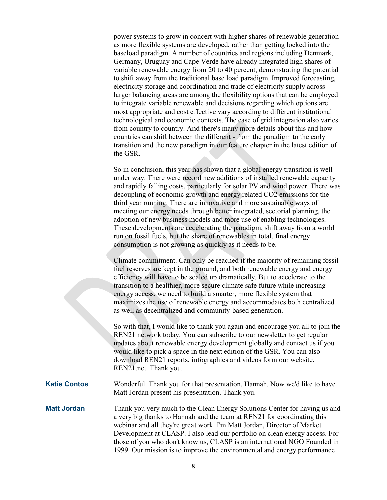power systems to grow in concert with higher shares of renewable generation as more flexible systems are developed, rather than getting locked into the baseload paradigm. A number of countries and regions including Denmark, Germany, Uruguay and Cape Verde have already integrated high shares of variable renewable energy from 20 to 40 percent, demonstrating the potential to shift away from the traditional base load paradigm. Improved forecasting, electricity storage and coordination and trade of electricity supply across larger balancing areas are among the flexibility options that can be employed to integrate variable renewable and decisions regarding which options are most appropriate and cost effective vary according to different institutional technological and economic contexts. The ease of grid integration also varies from country to country. And there's many more details about this and how countries can shift between the different - from the paradigm to the early transition and the new paradigm in our feature chapter in the latest edition of the GSR.

So in conclusion, this year has shown that a global energy transition is well under way. There were record new additions of installed renewable capacity and rapidly falling costs, particularly for solar PV and wind power. There was decoupling of economic growth and energy related CO2 emissions for the third year running. There are innovative and more sustainable ways of meeting our energy needs through better integrated, sectorial planning, the adoption of new business models and more use of enabling technologies. These developments are accelerating the paradigm, shift away from a world run on fossil fuels, but the share of renewables in total, final energy consumption is not growing as quickly as it needs to be.

Climate commitment. Can only be reached if the majority of remaining fossil fuel reserves are kept in the ground, and both renewable energy and energy efficiency will have to be scaled up dramatically. But to accelerate to the transition to a healthier, more secure climate safe future while increasing energy access, we need to build a smarter, more flexible system that maximizes the use of renewable energy and accommodates both centralized as well as decentralized and community-based generation.

So with that, I would like to thank you again and encourage you all to join the REN21 network today. You can subscribe to our newsletter to get regular updates about renewable energy development globally and contact us if you would like to pick a space in the next edition of the GSR. You can also download REN21 reports, infographics and videos form our website, REN21.net. Thank you.

- **Katie Contos** Wonderful. Thank you for that presentation, Hannah. Now we'd like to have Matt Jordan present his presentation. Thank you.
- **Matt Jordan** Thank you very much to the Clean Energy Solutions Center for having us and a very big thanks to Hannah and the team at REN21 for coordinating this webinar and all they're great work. I'm Matt Jordan, Director of Market Development at CLASP. I also lead our portfolio on clean energy access. For those of you who don't know us, CLASP is an international NGO Founded in 1999. Our mission is to improve the environmental and energy performance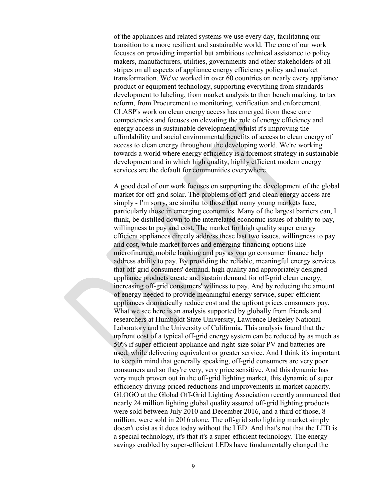of the appliances and related systems we use every day, facilitating our transition to a more resilient and sustainable world. The core of our work focuses on providing impartial but ambitious technical assistance to policy makers, manufacturers, utilities, governments and other stakeholders of all stripes on all aspects of appliance energy efficiency policy and market transformation. We've worked in over 60 countries on nearly every appliance product or equipment technology, supporting everything from standards development to labeling, from market analysis to then bench marking, to tax reform, from Procurement to monitoring, verification and enforcement. CLASP's work on clean energy access has emerged from these core competencies and focuses on elevating the role of energy efficiency and energy access in sustainable development, whilst it's improving the affordability and social environmental benefits of access to clean energy of access to clean energy throughout the developing world. We're working towards a world where energy efficiency is a foremost strategy in sustainable development and in which high quality, highly efficient modern energy services are the default for communities everywhere.

A good deal of our work focuses on supporting the development of the global market for off-grid solar. The problems of off-grid clean energy access are simply - I'm sorry, are similar to those that many young markets face, particularly those in emerging economies. Many of the largest barriers can, I think, be distilled down to the interrelated economic issues of ability to pay, willingness to pay and cost. The market for high quality super energy efficient appliances directly address these last two issues, willingness to pay and cost, while market forces and emerging financing options like microfinance, mobile banking and pay as you go consumer finance help address ability to pay. By providing the reliable, meaningful energy services that off-grid consumers' demand, high quality and appropriately designed appliance products create and sustain demand for off-grid clean energy, increasing off-grid consumers' wiliness to pay. And by reducing the amount of energy needed to provide meaningful energy service, super-efficient appliances dramatically reduce cost and the upfront prices consumers pay. What we see here is an analysis supported by globally from friends and researchers at Humboldt State University, Lawrence Berkeley National Laboratory and the University of California. This analysis found that the upfront cost of a typical off-grid energy system can be reduced by as much as 50% if super-efficient appliance and right-size solar PV and batteries are used, while delivering equivalent or greater service. And I think it's important to keep in mind that generally speaking, off-grid consumers are very poor consumers and so they're very, very price sensitive. And this dynamic has very much proven out in the off-grid lighting market, this dynamic of super efficiency driving priced reductions and improvements in market capacity. GLOGO at the Global Off-Grid Lighting Association recently announced that nearly 24 million lighting global quality assured off-grid lighting products were sold between July 2010 and December 2016, and a third of those, 8 million, were sold in 2016 alone. The off-grid solo lighting market simply doesn't exist as it does today without the LED. And that's not that the LED is a special technology, it's that it's a super-efficient technology. The energy savings enabled by super-efficient LEDs have fundamentally changed the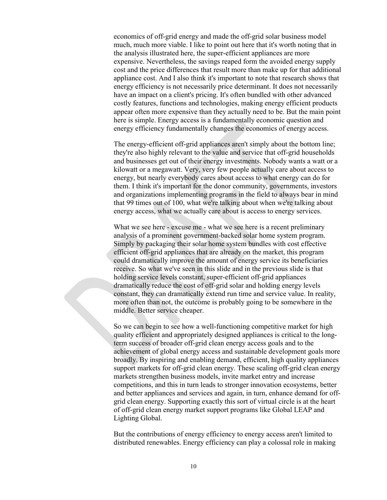economics of off-grid energy and made the off-grid solar business model much, much more viable. I like to point out here that it's worth noting that in the analysis illustrated here, the super-efficient appliances are more expensive. Nevertheless, the savings reaped form the avoided energy supply cost and the price differences that result more than make up for that additional appliance cost. And I also think it's important to note that research shows that energy efficiency is not necessarily price determinant. It does not necessarily have an impact on a client's pricing. It's often bundled with other advanced costly features, functions and technologies, making energy efficient products appear often more expensive than they actually need to be. But the main point here is simple. Energy access is a fundamentally economic question and energy efficiency fundamentally changes the economics of energy access.

The energy-efficient off-grid appliances aren't simply about the bottom line; they're also highly relevant to the value and service that off-grid households and businesses get out of their energy investments. Nobody wants a watt or a kilowatt or a megawatt. Very, very few people actually care about access to energy, but nearly everybody cares about access to what energy can do for them. I think it's important for the donor community, governments, investors and organizations implementing programs in the field to always bear in mind that 99 times out of 100, what we're talking about when we're talking about energy access, what we actually care about is access to energy services.

What we see here - excuse me - what we see here is a recent preliminary analysis of a prominent government-backed solar home system program. Simply by packaging their solar home system bundles with cost effective efficient off-grid appliances that are already on the market, this program could dramatically improve the amount of energy service its beneficiaries receive. So what we've seen in this slide and in the previous slide is that holding service levels constant, super-efficient off-grid appliances dramatically reduce the cost of off-grid solar and holding energy levels constant, they can dramatically extend run time and service value. In reality, more often than not, the outcome is probably going to be somewhere in the middle. Better service cheaper.

So we can begin to see how a well-functioning competitive market for high quality efficient and appropriately designed appliances is critical to the longterm success of broader off-grid clean energy access goals and to the achievement of global energy access and sustainable development goals more broadly. By inspiring and enabling demand, efficient, high quality appliances support markets for off-grid clean energy. These scaling off-grid clean energy markets strengthen business models, invite market entry and increase competitions, and this in turn leads to stronger innovation ecosystems, better and better appliances and services and again, in turn, enhance demand for offgrid clean energy. Supporting exactly this sort of virtual circle is at the heart of off-grid clean energy market support programs like Global LEAP and Lighting Global.

But the contributions of energy efficiency to energy access aren't limited to distributed renewables. Energy efficiency can play a colossal role in making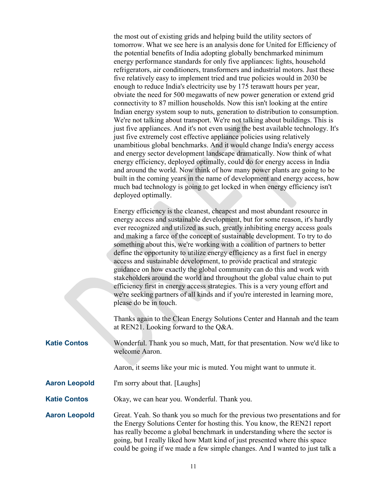the most out of existing grids and helping build the utility sectors of tomorrow. What we see here is an analysis done for United for Efficiency of the potential benefits of India adopting globally benchmarked minimum energy performance standards for only five appliances: lights, household refrigerators, air conditioners, transformers and industrial motors. Just these five relatively easy to implement tried and true policies would in 2030 be enough to reduce India's electricity use by 175 terawatt hours per year, obviate the need for 500 megawatts of new power generation or extend grid connectivity to 87 million households. Now this isn't looking at the entire Indian energy system soup to nuts, generation to distribution to consumption. We're not talking about transport. We're not talking about buildings. This is just five appliances. And it's not even using the best available technology. It's just five extremely cost effective appliance policies using relatively unambitious global benchmarks. And it would change India's energy access and energy sector development landscape dramatically. Now think of what energy efficiency, deployed optimally, could do for energy access in India and around the world. Now think of how many power plants are going to be built in the coming years in the name of development and energy access, how much bad technology is going to get locked in when energy efficiency isn't deployed optimally.  $E_{\text{R}}$ 

|                      | Energy efficiency is the cleanest, cheapest and most abundant resource in<br>energy access and sustainable development, but for some reason, it's hardly<br>ever recognized and utilized as such, greatly inhibiting energy access goals<br>and making a farce of the concept of sustainable development. To try to do<br>something about this, we're working with a coalition of partners to better<br>define the opportunity to utilize energy efficiency as a first fuel in energy<br>access and sustainable development, to provide practical and strategic<br>guidance on how exactly the global community can do this and work with<br>stakeholders around the world and throughout the global value chain to put<br>efficiency first in energy access strategies. This is a very young effort and<br>we're seeking partners of all kinds and if you're interested in learning more,<br>please do be in touch. |
|----------------------|----------------------------------------------------------------------------------------------------------------------------------------------------------------------------------------------------------------------------------------------------------------------------------------------------------------------------------------------------------------------------------------------------------------------------------------------------------------------------------------------------------------------------------------------------------------------------------------------------------------------------------------------------------------------------------------------------------------------------------------------------------------------------------------------------------------------------------------------------------------------------------------------------------------------|
|                      | Thanks again to the Clean Energy Solutions Center and Hannah and the team<br>at REN21. Looking forward to the Q&A.                                                                                                                                                                                                                                                                                                                                                                                                                                                                                                                                                                                                                                                                                                                                                                                                   |
| <b>Katie Contos</b>  | Wonderful. Thank you so much, Matt, for that presentation. Now we'd like to<br>welcome Aaron.                                                                                                                                                                                                                                                                                                                                                                                                                                                                                                                                                                                                                                                                                                                                                                                                                        |
|                      | Aaron, it seems like your mic is muted. You might want to unmute it.                                                                                                                                                                                                                                                                                                                                                                                                                                                                                                                                                                                                                                                                                                                                                                                                                                                 |
| <b>Aaron Leopold</b> | I'm sorry about that. [Laughs]                                                                                                                                                                                                                                                                                                                                                                                                                                                                                                                                                                                                                                                                                                                                                                                                                                                                                       |
| <b>Katie Contos</b>  | Okay, we can hear you. Wonderful. Thank you.                                                                                                                                                                                                                                                                                                                                                                                                                                                                                                                                                                                                                                                                                                                                                                                                                                                                         |
| <b>Aaron Leopold</b> | Great. Yeah. So thank you so much for the previous two presentations and for<br>the Energy Solutions Center for hosting this. You know, the REN21 report<br>has really become a global benchmark in understanding where the sector is<br>going, but I really liked how Matt kind of just presented where this space<br>could be going if we made a few simple changes. And I wanted to just talk a                                                                                                                                                                                                                                                                                                                                                                                                                                                                                                                   |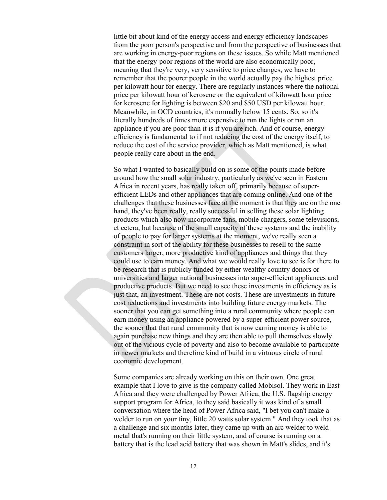little bit about kind of the energy access and energy efficiency landscapes from the poor person's perspective and from the perspective of businesses that are working in energy-poor regions on these issues. So while Matt mentioned that the energy-poor regions of the world are also economically poor, meaning that they're very, very sensitive to price changes, we have to remember that the poorer people in the world actually pay the highest price per kilowatt hour for energy. There are regularly instances where the national price per kilowatt hour of kerosene or the equivalent of kilowatt hour price for kerosene for lighting is between \$20 and \$50 USD per kilowatt hour. Meanwhile, in OCD countries, it's normally below 15 cents. So, so it's literally hundreds of times more expensive to run the lights or run an appliance if you are poor than it is if you are rich. And of course, energy efficiency is fundamental to if not reducing the cost of the energy itself, to reduce the cost of the service provider, which as Matt mentioned, is what people really care about in the end.

So what I wanted to basically build on is some of the points made before around how the small solar industry, particularly as we've seen in Eastern Africa in recent years, has really taken off, primarily because of superefficient LEDs and other appliances that are coming online. And one of the challenges that these businesses face at the moment is that they are on the one hand, they've been really, really successful in selling these solar lighting products which also now incorporate fans, mobile chargers, some televisions, et cetera, but because of the small capacity of these systems and the inability of people to pay for larger systems at the moment, we've really seen a constraint in sort of the ability for these businesses to resell to the same customers larger, more productive kind of appliances and things that they could use to earn money. And what we would really love to see is for there to be research that is publicly funded by either wealthy country donors or universities and larger national businesses into super-efficient appliances and productive products. But we need to see these investments in efficiency as is just that, an investment. These are not costs. These are investments in future cost reductions and investments into building future energy markets. The sooner that you can get something into a rural community where people can earn money using an appliance powered by a super-efficient power source, the sooner that that rural community that is now earning money is able to again purchase new things and they are then able to pull themselves slowly out of the vicious cycle of poverty and also to become available to participate in newer markets and therefore kind of build in a virtuous circle of rural economic development.

Some companies are already working on this on their own. One great example that I love to give is the company called Mobisol. They work in East Africa and they were challenged by Power Africa, the U.S. flagship energy support program for Africa, to they said basically it was kind of a small conversation where the head of Power Africa said, "I bet you can't make a welder to run on your tiny, little 20 watts solar system." And they took that as a challenge and six months later, they came up with an arc welder to weld metal that's running on their little system, and of course is running on a battery that is the lead acid battery that was shown in Matt's slides, and it's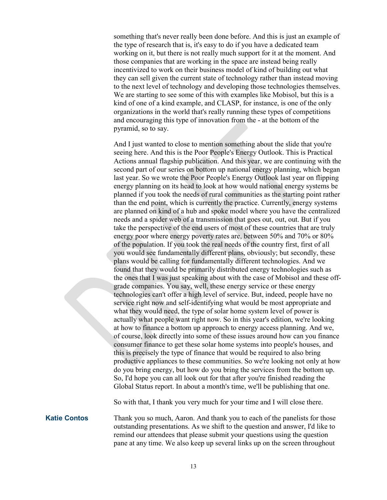something that's never really been done before. And this is just an example of the type of research that is, it's easy to do if you have a dedicated team working on it, but there is not really much support for it at the moment. And those companies that are working in the space are instead being really incentivized to work on their business model of kind of building out what they can sell given the current state of technology rather than instead moving to the next level of technology and developing those technologies themselves. We are starting to see some of this with examples like Mobisol, but this is a kind of one of a kind example, and CLASP, for instance, is one of the only organizations in the world that's really running these types of competitions and encouraging this type of innovation from the - at the bottom of the pyramid, so to say.

And I just wanted to close to mention something about the slide that you're seeing here. And this is the Poor People's Energy Outlook. This is Practical Actions annual flagship publication. And this year, we are continuing with the second part of our series on bottom up national energy planning, which began last year. So we wrote the Poor People's Energy Outlook last year on flipping energy planning on its head to look at how would national energy systems be planned if you took the needs of rural communities as the starting point rather than the end point, which is currently the practice. Currently, energy systems are planned on kind of a hub and spoke model where you have the centralized needs and a spider web of a transmission that goes out, out, out. But if you take the perspective of the end users of most of these countries that are truly energy poor where energy poverty rates are, between 50% and 70% or 80% of the population. If you took the real needs of the country first, first of all you would see fundamentally different plans, obviously; but secondly, these plans would be calling for fundamentally different technologies. And we found that they would be primarily distributed energy technologies such as the ones that I was just speaking about with the case of Mobisol and these offgrade companies. You say, well, these energy service or these energy technologies can't offer a high level of service. But, indeed, people have no service right now and self-identifying what would be most appropriate and what they would need, the type of solar home system level of power is actually what people want right now. So in this year's edition, we're looking at how to finance a bottom up approach to energy access planning. And we, of course, look directly into some of these issues around how can you finance consumer finance to get these solar home systems into people's houses, and this is precisely the type of finance that would be required to also bring productive appliances to these communities. So we're looking not only at how do you bring energy, but how do you bring the services from the bottom up. So, I'd hope you can all look out for that after you're finished reading the Global Status report. In about a month's time, we'll be publishing that one.

So with that, I thank you very much for your time and I will close there.

**Katie Contos** Thank you so much, Aaron. And thank you to each of the panelists for those outstanding presentations. As we shift to the question and answer, I'd like to remind our attendees that please submit your questions using the question pane at any time. We also keep up several links up on the screen throughout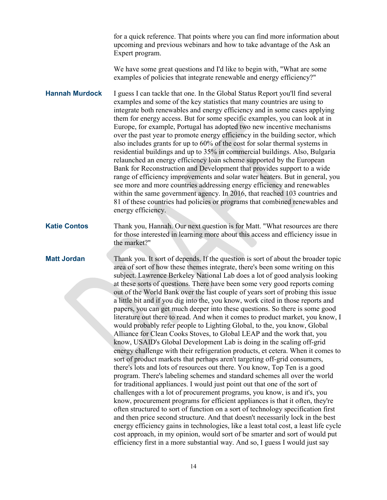for a quick reference. That points where you can find more information about upcoming and previous webinars and how to take advantage of the Ask an Expert program.

We have some great questions and I'd like to begin with, "What are some examples of policies that integrate renewable and energy efficiency?"

**Hannah Murdock** I guess I can tackle that one. In the Global Status Report you'll find several examples and some of the key statistics that many countries are using to integrate both renewables and energy efficiency and in some cases applying them for energy access. But for some specific examples, you can look at in Europe, for example, Portugal has adopted two new incentive mechanisms over the past year to promote energy efficiency in the building sector, which also includes grants for up to 60% of the cost for solar thermal systems in residential buildings and up to 35% in commercial buildings. Also, Bulgaria relaunched an energy efficiency loan scheme supported by the European Bank for Reconstruction and Development that provides support to a wide range of efficiency improvements and solar water heaters. But in general, you see more and more countries addressing energy efficiency and renewables within the same government agency. In 2016, that reached 103 countries and 81 of these countries had policies or programs that combined renewables and energy efficiency.

**Katie Contos** Thank you, Hannah. Our next question is for Matt. "What resources are there for those interested in learning more about this access and efficiency issue in the market?"

**Matt Jordan** Thank you. It sort of depends. If the question is sort of about the broader topic area of sort of how these themes integrate, there's been some writing on this subject. Lawrence Berkeley National Lab does a lot of good analysis looking at these sorts of questions. There have been some very good reports coming out of the World Bank over the last couple of years sort of probing this issue a little bit and if you dig into the, you know, work cited in those reports and papers, you can get much deeper into these questions. So there is some good literature out there to read. And when it comes to product market, you know, I would probably refer people to Lighting Global, to the, you know, Global Alliance for Clean Cooks Stoves, to Global LEAP and the work that, you know, USAID's Global Development Lab is doing in the scaling off-grid energy challenge with their refrigeration products, et cetera. When it comes to sort of product markets that perhaps aren't targeting off-grid consumers, there's lots and lots of resources out there. You know, Top Ten is a good program. There's labeling schemes and standard schemes all over the world for traditional appliances. I would just point out that one of the sort of challenges with a lot of procurement programs, you know, is and it's, you know, procurement programs for efficient appliances is that it often, they're often structured to sort of function on a sort of technology specification first and then price second structure. And that doesn't necessarily lock in the best energy efficiency gains in technologies, like a least total cost, a least life cycle cost approach, in my opinion, would sort of be smarter and sort of would put efficiency first in a more substantial way. And so, I guess I would just say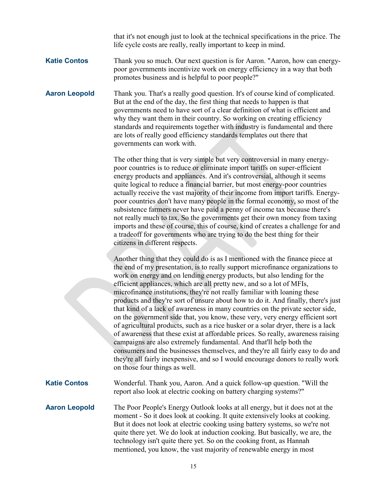that it's not enough just to look at the technical specifications in the price. The life cycle costs are really, really important to keep in mind.

## **Katie Contos** Thank you so much. Our next question is for Aaron. "Aaron, how can energypoor governments incentivize work on energy efficiency in a way that both promotes business and is helpful to poor people?"

**Aaron Leopold** Thank you. That's a really good question. It's of course kind of complicated. But at the end of the day, the first thing that needs to happen is that governments need to have sort of a clear definition of what is efficient and why they want them in their country. So working on creating efficiency standards and requirements together with industry is fundamental and there are lots of really good efficiency standards templates out there that governments can work with.

> The other thing that is very simple but very controversial in many energypoor countries is to reduce or eliminate import tariffs on super-efficient energy products and appliances. And it's controversial, although it seems quite logical to reduce a financial barrier, but most energy-poor countries actually receive the vast majority of their income from import tariffs. Energypoor countries don't have many people in the formal economy, so most of the subsistence farmers never have paid a penny of income tax because there's not really much to tax. So the governments get their own money from taxing imports and these of course, this of course, kind of creates a challenge for and a tradeoff for governments who are trying to do the best thing for their citizens in different respects.

> Another thing that they could do is as I mentioned with the finance piece at the end of my presentation, is to really support microfinance organizations to work on energy and on lending energy products, but also lending for the efficient appliances, which are all pretty new, and so a lot of MFIs, microfinance institutions, they're not really familiar with loaning these products and they're sort of unsure about how to do it. And finally, there's just that kind of a lack of awareness in many countries on the private sector side, on the government side that, you know, these very, very energy efficient sort of agricultural products, such as a rice husker or a solar dryer, there is a lack of awareness that these exist at affordable prices. So really, awareness raising campaigns are also extremely fundamental. And that'll help both the consumers and the businesses themselves, and they're all fairly easy to do and they're all fairly inexpensive, and so I would encourage donors to really work on those four things as well.

**Katie Contos** Wonderful. Thank you, Aaron. And a quick follow-up question. "Will the report also look at electric cooking on battery charging systems?"

**Aaron Leopold** The Poor People's Energy Outlook looks at all energy, but it does not at the moment - So it does look at cooking. It quite extensively looks at cooking. But it does not look at electric cooking using battery systems, so we're not quite there yet. We do look at induction cooking. But basically, we are, the technology isn't quite there yet. So on the cooking front, as Hannah mentioned, you know, the vast majority of renewable energy in most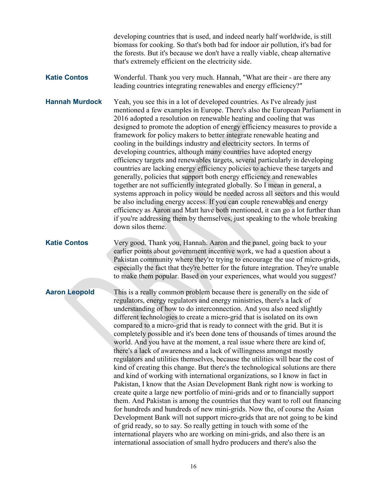developing countries that is used, and indeed nearly half worldwide, is still biomass for cooking. So that's both bad for indoor air pollution, it's bad for the forests. But it's because we don't have a really viable, cheap alternative that's extremely efficient on the electricity side.

**Katie Contos** Wonderful. Thank you very much. Hannah, "What are their - are there any leading countries integrating renewables and energy efficiency?"

**Hannah Murdock** Yeah, you see this in a lot of developed countries. As I've already just mentioned a few examples in Europe. There's also the European Parliament in 2016 adopted a resolution on renewable heating and cooling that was designed to promote the adoption of energy efficiency measures to provide a framework for policy makers to better integrate renewable heating and cooling in the buildings industry and electricity sectors. In terms of developing countries, although many countries have adopted energy efficiency targets and renewables targets, several particularly in developing countries are lacking energy efficiency policies to achieve these targets and generally, policies that support both energy efficiency and renewables together are not sufficiently integrated globally. So I mean in general, a systems approach in policy would be needed across all sectors and this would be also including energy access. If you can couple renewables and energy efficiency as Aaron and Matt have both mentioned, it can go a lot further than if you're addressing them by themselves, just speaking to the whole breaking down silos theme.

**Katie Contos** Very good. Thank you, Hannah. Aaron and the panel, going back to your earlier points about government incentive work, we had a question about a Pakistan community where they're trying to encourage the use of micro-grids, especially the fact that they're better for the future integration. They're unable to make them popular. Based on your experiences, what would you suggest?

**Aaron Leopold** This is a really common problem because there is generally on the side of regulators, energy regulators and energy ministries, there's a lack of understanding of how to do interconnection. And you also need slightly different technologies to create a micro-grid that is isolated on its own compared to a micro-grid that is ready to connect with the grid. But it is completely possible and it's been done tens of thousands of times around the world. And you have at the moment, a real issue where there are kind of, there's a lack of awareness and a lack of willingness amongst mostly regulators and utilities themselves, because the utilities will bear the cost of kind of creating this change. But there's the technological solutions are there and kind of working with international organizations, so I know in fact in Pakistan, I know that the Asian Development Bank right now is working to create quite a large new portfolio of mini-grids and or to financially support them. And Pakistan is among the countries that they want to roll out financing for hundreds and hundreds of new mini-grids. Now the, of course the Asian Development Bank will not support micro-grids that are not going to be kind of grid ready, so to say. So really getting in touch with some of the international players who are working on mini-grids, and also there is an international association of small hydro producers and there's also the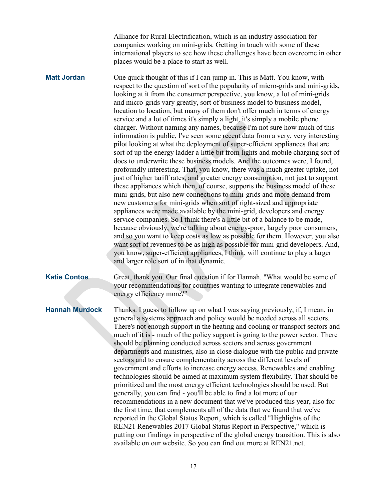Alliance for Rural Electrification, which is an industry association for companies working on mini-grids. Getting in touch with some of these international players to see how these challenges have been overcome in other places would be a place to start as well.

**Matt Jordan** One quick thought of this if I can jump in. This is Matt. You know, with respect to the question of sort of the popularity of micro-grids and mini-grids, looking at it from the consumer perspective, you know, a lot of mini-grids and micro-grids vary greatly, sort of business model to business model, location to location, but many of them don't offer much in terms of energy service and a lot of times it's simply a light, it's simply a mobile phone charger. Without naming any names, because I'm not sure how much of this information is public, I've seen some recent data from a very, very interesting pilot looking at what the deployment of super-efficient appliances that are sort of up the energy ladder a little bit from lights and mobile charging sort of does to underwrite these business models. And the outcomes were, I found, profoundly interesting. That, you know, there was a much greater uptake, not just of higher tariff rates, and greater energy consumption, not just to support these appliances which then, of course, supports the business model of these mini-grids, but also new connections to mini-grids and more demand from new customers for mini-grids when sort of right-sized and appropriate appliances were made available by the mini-grid, developers and energy service companies. So I think there's a little bit of a balance to be made, because obviously, we're talking about energy-poor, largely poor consumers, and so you want to keep costs as low as possible for them. However, you also want sort of revenues to be as high as possible for mini-grid developers. And, you know, super-efficient appliances, I think, will continue to play a larger and larger role sort of in that dynamic.

**Katie Contos** Great, thank you. Our final question if for Hannah. "What would be some of your recommendations for countries wanting to integrate renewables and energy efficiency more?"

**Hannah Murdock** Thanks. I guess to follow up on what I was saying previously, if, I mean, in general a systems approach and policy would be needed across all sectors. There's not enough support in the heating and cooling or transport sectors and much of it is - much of the policy support is going to the power sector. There should be planning conducted across sectors and across government departments and ministries, also in close dialogue with the public and private sectors and to ensure complementarity across the different levels of government and efforts to increase energy access. Renewables and enabling technologies should be aimed at maximum system flexibility. That should be prioritized and the most energy efficient technologies should be used. But generally, you can find - you'll be able to find a lot more of our recommendations in a new document that we've produced this year, also for the first time, that complements all of the data that we found that we've reported in the Global Status Report, which is called "Highlights of the REN21 Renewables 2017 Global Status Report in Perspective," which is putting our findings in perspective of the global energy transition. This is also available on our website. So you can find out more at REN21.net.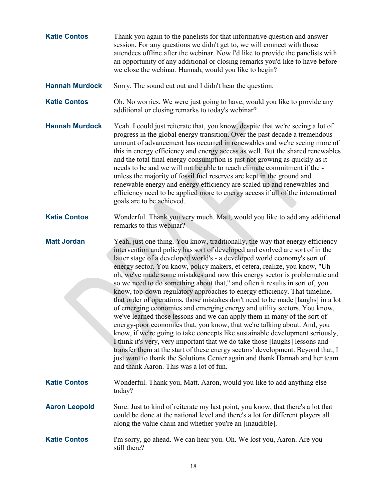| <b>Katie Contos</b>   | Thank you again to the panelists for that informative question and answer<br>session. For any questions we didn't get to, we will connect with those<br>attendees offline after the webinar. Now I'd like to provide the panelists with<br>an opportunity of any additional or closing remarks you'd like to have before<br>we close the webinar. Hannah, would you like to begin?                                                                                                                                                                                                                                                                                                                                                                                                                                                                                                                                                                                                                                                                                                                                                                                                                                                                                        |
|-----------------------|---------------------------------------------------------------------------------------------------------------------------------------------------------------------------------------------------------------------------------------------------------------------------------------------------------------------------------------------------------------------------------------------------------------------------------------------------------------------------------------------------------------------------------------------------------------------------------------------------------------------------------------------------------------------------------------------------------------------------------------------------------------------------------------------------------------------------------------------------------------------------------------------------------------------------------------------------------------------------------------------------------------------------------------------------------------------------------------------------------------------------------------------------------------------------------------------------------------------------------------------------------------------------|
| <b>Hannah Murdock</b> | Sorry. The sound cut out and I didn't hear the question.                                                                                                                                                                                                                                                                                                                                                                                                                                                                                                                                                                                                                                                                                                                                                                                                                                                                                                                                                                                                                                                                                                                                                                                                                  |
| <b>Katie Contos</b>   | Oh. No worries. We were just going to have, would you like to provide any<br>additional or closing remarks to today's webinar?                                                                                                                                                                                                                                                                                                                                                                                                                                                                                                                                                                                                                                                                                                                                                                                                                                                                                                                                                                                                                                                                                                                                            |
| <b>Hannah Murdock</b> | Yeah. I could just reiterate that, you know, despite that we're seeing a lot of<br>progress in the global energy transition. Over the past decade a tremendous<br>amount of advancement has occurred in renewables and we're seeing more of<br>this in energy efficiency and energy access as well. But the shared renewables<br>and the total final energy consumption is just not growing as quickly as it<br>needs to be and we will not be able to reach climate commitment if the -<br>unless the majority of fossil fuel reserves are kept in the ground and<br>renewable energy and energy efficiency are scaled up and renewables and<br>efficiency need to be applied more to energy access if all of the international<br>goals are to be achieved.                                                                                                                                                                                                                                                                                                                                                                                                                                                                                                             |
| <b>Katie Contos</b>   | Wonderful. Thank you very much. Matt, would you like to add any additional<br>remarks to this webinar?                                                                                                                                                                                                                                                                                                                                                                                                                                                                                                                                                                                                                                                                                                                                                                                                                                                                                                                                                                                                                                                                                                                                                                    |
| <b>Matt Jordan</b>    | Yeah, just one thing. You know, traditionally, the way that energy efficiency<br>intervention and policy has sort of developed and evolved are sort of in the<br>latter stage of a developed world's - a developed world economy's sort of<br>energy sector. You know, policy makers, et cetera, realize, you know, "Uh-<br>oh, we've made some mistakes and now this energy sector is problematic and<br>so we need to do something about that," and often it results in sort of, you<br>know, top-down regulatory approaches to energy efficiency. That timeline,<br>that order of operations, those mistakes don't need to be made [laughs] in a lot<br>of emerging economies and emerging energy and utility sectors. You know,<br>we've learned those lessons and we can apply them in many of the sort of<br>energy-poor economies that, you know, that we're talking about. And, you<br>know, if we're going to take concepts like sustainable development seriously,<br>I think it's very, very important that we do take those [laughs] lessons and<br>transfer them at the start of these energy sectors' development. Beyond that, I<br>just want to thank the Solutions Center again and thank Hannah and her team<br>and thank Aaron. This was a lot of fun. |
| <b>Katie Contos</b>   | Wonderful. Thank you, Matt. Aaron, would you like to add anything else<br>today?                                                                                                                                                                                                                                                                                                                                                                                                                                                                                                                                                                                                                                                                                                                                                                                                                                                                                                                                                                                                                                                                                                                                                                                          |
| <b>Aaron Leopold</b>  | Sure. Just to kind of reiterate my last point, you know, that there's a lot that<br>could be done at the national level and there's a lot for different players all<br>along the value chain and whether you're an [inaudible].                                                                                                                                                                                                                                                                                                                                                                                                                                                                                                                                                                                                                                                                                                                                                                                                                                                                                                                                                                                                                                           |
| <b>Katie Contos</b>   | I'm sorry, go ahead. We can hear you. Oh. We lost you, Aaron. Are you<br>still there?                                                                                                                                                                                                                                                                                                                                                                                                                                                                                                                                                                                                                                                                                                                                                                                                                                                                                                                                                                                                                                                                                                                                                                                     |